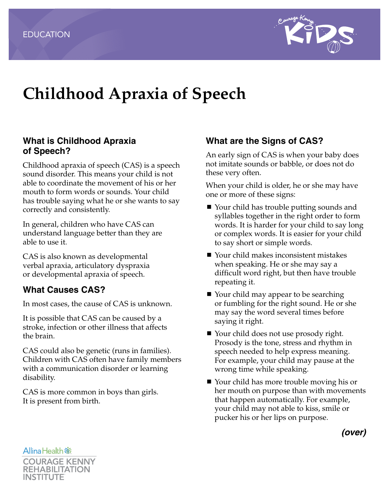

# **Childhood Apraxia of Speech**

#### **What is Childhood Apraxia of Speech?**

Childhood apraxia of speech (CAS) is a speech sound disorder. This means your child is not able to coordinate the movement of his or her mouth to form words or sounds. Your child has trouble saying what he or she wants to say correctly and consistently.

In general, children who have CAS can understand language better than they are able to use it.

CAS is also known as developmental verbal apraxia, articulatory dyspraxia or developmental apraxia of speech.

#### **What Causes CAS?**

In most cases, the cause of CAS is unknown.

It is possible that CAS can be caused by a stroke, infection or other illness that affects the brain.

CAS could also be genetic (runs in families). Children with CAS often have family members with a communication disorder or learning disability.

CAS is more common in boys than girls. It is present from birth.

#### **What are the Signs of CAS?**

An early sign of CAS is when your baby does not imitate sounds or babble, or does not do these very often.

When your child is older, he or she may have one or more of these signs:

- Your child has trouble putting sounds and syllables together in the right order to form words. It is harder for your child to say long or complex words. It is easier for your child to say short or simple words.
- Your child makes inconsistent mistakes when speaking. He or she may say a difficult word right, but then have trouble repeating it.
- Your child may appear to be searching or fumbling for the right sound. He or she may say the word several times before saying it right.
- Your child does not use prosody right. Prosody is the tone, stress and rhythm in speech needed to help express meaning. For example, your child may pause at the wrong time while speaking.
- Your child has more trouble moving his or her mouth on purpose than with movements that happen automatically. For example, your child may not able to kiss, smile or pucker his or her lips on purpose.

*(over)*

**AllinaHealth**